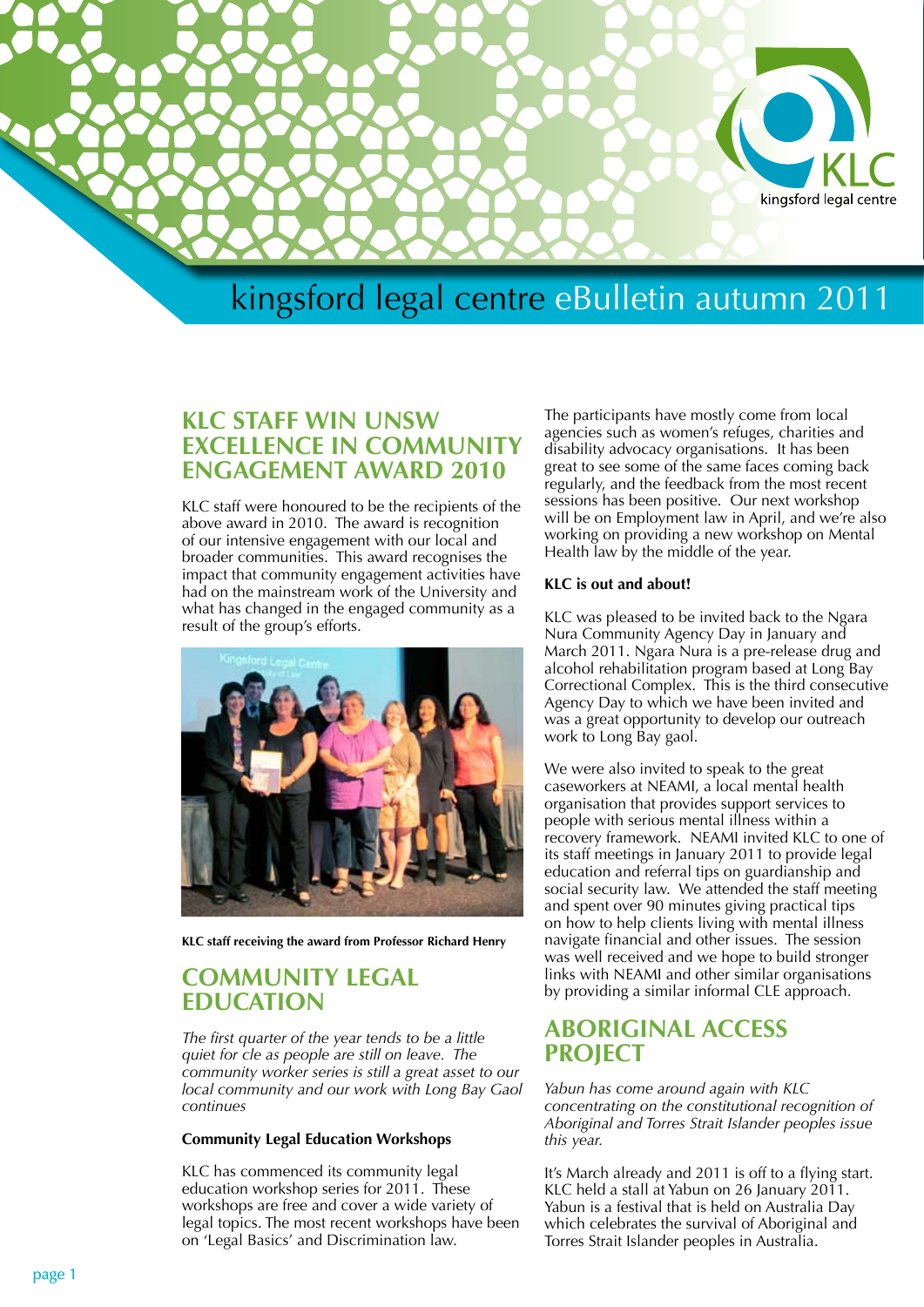

## **KLC Staff Win UNSW Excellence in Community Engagement Award 2010**

KLC staff were honoured to be the recipients of the above award in 2010. The award is recognition of our intensive engagement with our local and broader communities. This award recognises the impact that community engagement activities have had on the mainstream work of the University and what has changed in the engaged community as a result of the group's efforts.



**KLC staff receiving the award from Professor Richard Henry**

## **COMMUNITY LEGAL EDUCATION**

*The first quarter of the year tends to be a little quiet for cle as people are still on leave. The community worker series is still a great asset to our local community and our work with Long Bay Gaol continues*

### **Community Legal Education Workshops**

KLC has commenced its community legal education workshop series for 2011. These workshops are free and cover a wide variety of legal topics. The most recent workshops have been on 'Legal Basics' and Discrimination law.

The participants have mostly come from local agencies such as women's refuges, charities and disability advocacy organisations. It has been great to see some of the same faces coming back regularly, and the feedback from the most recent sessions has been positive. Our next workshop will be on Employment law in April, and we're also working on providing a new workshop on Mental Health law by the middle of the year.

### **KLC is out and about!**

KLC was pleased to be invited back to the Ngara Nura Community Agency Day in January and March 2011. Ngara Nura is a pre-release drug and alcohol rehabilitation program based at Long Bay Correctional Complex. This is the third consecutive Agency Day to which we have been invited and was a great opportunity to develop our outreach work to Long Bay gaol.

We were also invited to speak to the great caseworkers at NEAMI, a local mental health organisation that provides support services to people with serious mental illness within a recovery framework. NEAMI invited KLC to one of its staff meetings in January 2011 to provide legal education and referral tips on guardianship and social security law. We attended the staff meeting and spent over 90 minutes giving practical tips on how to help clients living with mental illness navigate financial and other issues. The session was well received and we hope to build stronger links with NEAMI and other similar organisations by providing a similar informal CLE approach.

## **ABORIGINAL ACCESS PROJECT**

*Yabun has come around again with KLC concentrating on the constitutional recognition of Aboriginal and Torres Strait Islander peoples issue this year.*

It's March already and 2011 is off to a flying start. KLC held a stall at Yabun on 26 January 2011. Yabun is a festival that is held on Australia Day which celebrates the survival of Aboriginal and Torres Strait Islander peoples in Australia.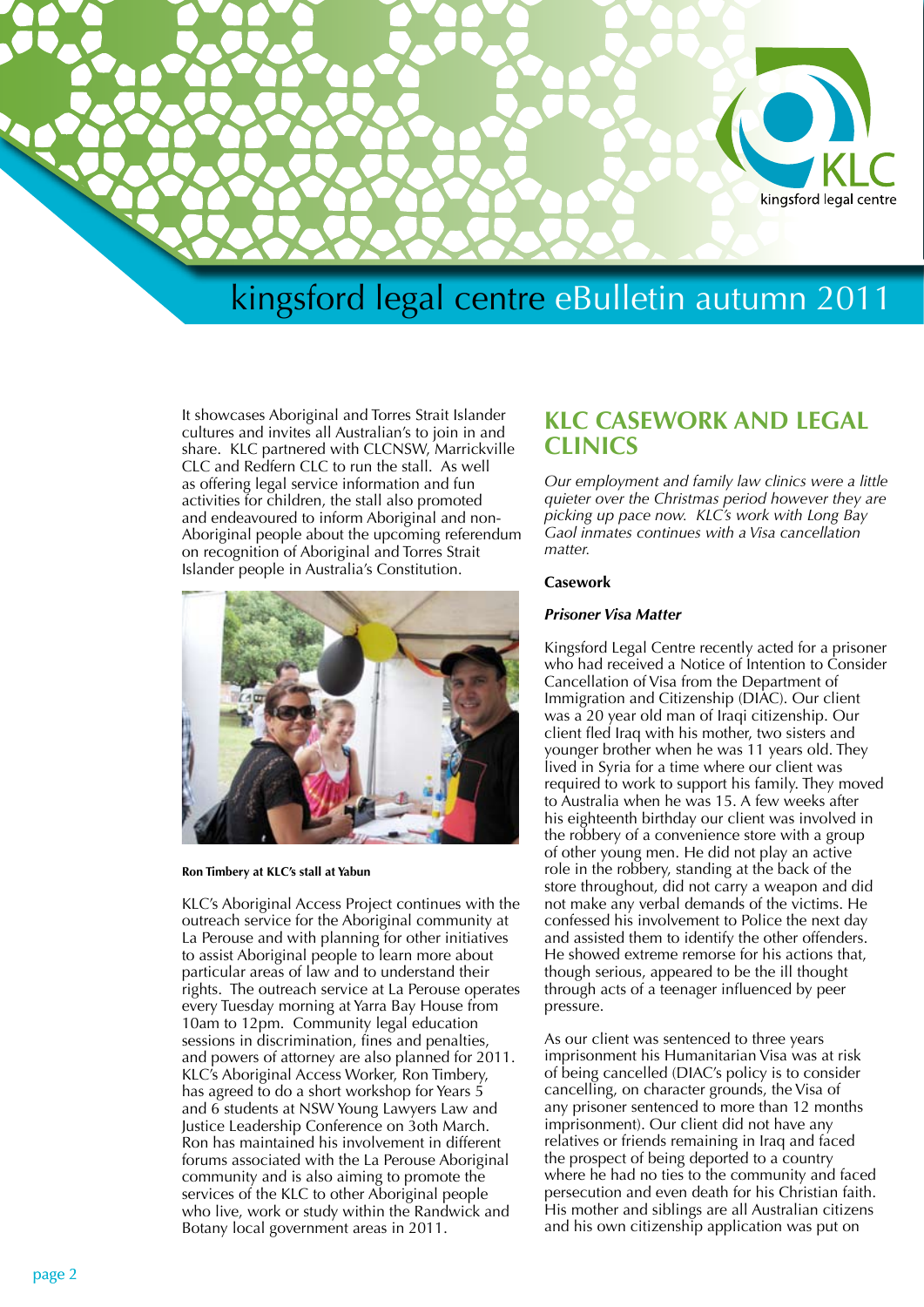

It showcases Aboriginal and Torres Strait Islander cultures and invites all Australian's to join in and share. KLC partnered with CLCNSW, Marrickville CLC and Redfern CLC to run the stall. As well as offering legal service information and fun activities for children, the stall also promoted and endeavoured to inform Aboriginal and non-Aboriginal people about the upcoming referendum on recognition of Aboriginal and Torres Strait Islander people in Australia's Constitution.



**Ron Timbery at KLC's stall at Yabun**

KLC's Aboriginal Access Project continues with the outreach service for the Aboriginal community at La Perouse and with planning for other initiatives to assist Aboriginal people to learn more about particular areas of law and to understand their rights. The outreach service at La Perouse operates every Tuesday morning at Yarra Bay House from 10am to 12pm. Community legal education sessions in discrimination, fines and penalties, and powers of attorney are also planned for 2011. KLC's Aboriginal Access Worker, Ron Timbery, has agreed to do a short workshop for Years 5 and 6 students at NSW Young Lawyers Law and Justice Leadership Conference on 3oth March. Ron has maintained his involvement in different forums associated with the La Perouse Aboriginal community and is also aiming to promote the services of the KLC to other Aboriginal people who live, work or study within the Randwick and Botany local government areas in 2011.

## **KLC CASEWORK AND LEGAL CLINICS**

*Our employment and family law clinics were a little quieter over the Christmas period however they are picking up pace now. KLC's work with Long Bay Gaol inmates continues with a Visa cancellation matter.*

#### **Casework**

#### *Prisoner Visa Matter*

Kingsford Legal Centre recently acted for a prisoner who had received a Notice of Intention to Consider Cancellation of Visa from the Department of Immigration and Citizenship (DIAC). Our client was a 20 year old man of Iraqi citizenship. Our client fled Iraq with his mother, two sisters and younger brother when he was 11 years old. They lived in Syria for a time where our client was required to work to support his family. They moved to Australia when he was 15. A few weeks after his eighteenth birthday our client was involved in the robbery of a convenience store with a group of other young men. He did not play an active role in the robbery, standing at the back of the store throughout, did not carry a weapon and did not make any verbal demands of the victims. He confessed his involvement to Police the next day and assisted them to identify the other offenders. He showed extreme remorse for his actions that, though serious, appeared to be the ill thought through acts of a teenager influenced by peer pressure.

As our client was sentenced to three years imprisonment his Humanitarian Visa was at risk of being cancelled (DIAC's policy is to consider cancelling, on character grounds, the Visa of any prisoner sentenced to more than 12 months imprisonment). Our client did not have any relatives or friends remaining in Iraq and faced the prospect of being deported to a country where he had no ties to the community and faced persecution and even death for his Christian faith. His mother and siblings are all Australian citizens and his own citizenship application was put on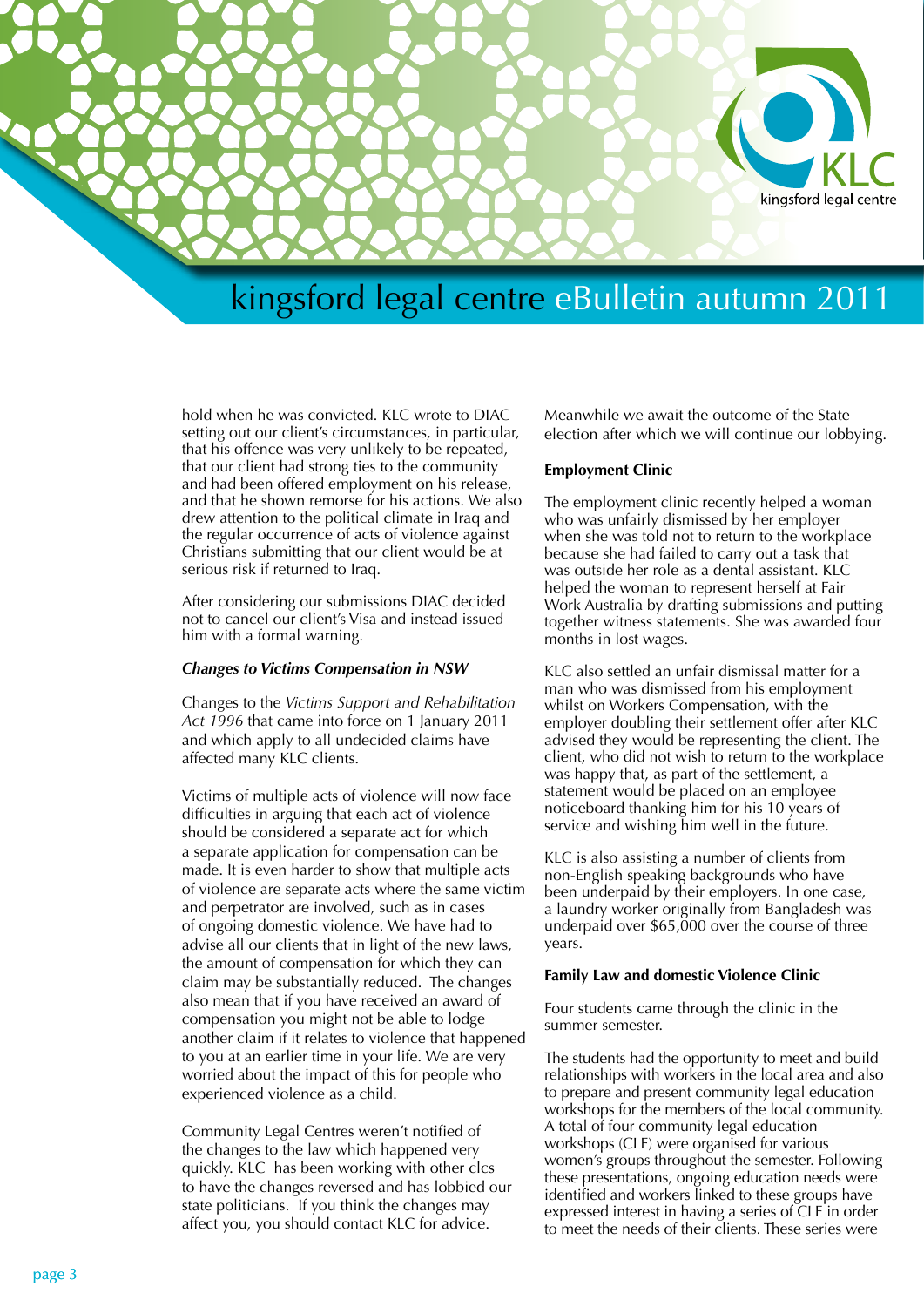

hold when he was convicted. KLC wrote to DIAC setting out our client's circumstances, in particular, that his offence was very unlikely to be repeated, that our client had strong ties to the community and had been offered employment on his release, and that he shown remorse for his actions. We also drew attention to the political climate in Iraq and the regular occurrence of acts of violence against Christians submitting that our client would be at serious risk if returned to Iraq.

After considering our submissions DIAC decided not to cancel our client's Visa and instead issued him with a formal warning.

#### *Changes to Victims Compensation in NSW*

Changes to the *Victims Support and Rehabilitation Act 1996* that came into force on 1 January 2011 and which apply to all undecided claims have affected many KLC clients.

Victims of multiple acts of violence will now face difficulties in arguing that each act of violence should be considered a separate act for which a separate application for compensation can be made. It is even harder to show that multiple acts of violence are separate acts where the same victim and perpetrator are involved, such as in cases of ongoing domestic violence. We have had to advise all our clients that in light of the new laws, the amount of compensation for which they can claim may be substantially reduced. The changes also mean that if you have received an award of compensation you might not be able to lodge another claim if it relates to violence that happened to you at an earlier time in your life. We are very worried about the impact of this for people who experienced violence as a child.

Community Legal Centres weren't notified of the changes to the law which happened very quickly. KLC has been working with other clcs to have the changes reversed and has lobbied our state politicians. If you think the changes may affect you, you should contact KLC for advice.

Meanwhile we await the outcome of the State election after which we will continue our lobbying.

#### **Employment Clinic**

The employment clinic recently helped a woman who was unfairly dismissed by her employer when she was told not to return to the workplace because she had failed to carry out a task that was outside her role as a dental assistant. KLC helped the woman to represent herself at Fair Work Australia by drafting submissions and putting together witness statements. She was awarded four months in lost wages.

KLC also settled an unfair dismissal matter for a man who was dismissed from his employment whilst on Workers Compensation, with the employer doubling their settlement offer after KLC advised they would be representing the client. The client, who did not wish to return to the workplace was happy that, as part of the settlement, a statement would be placed on an employee noticeboard thanking him for his 10 years of service and wishing him well in the future.

KLC is also assisting a number of clients from non-English speaking backgrounds who have been underpaid by their employers. In one case, a laundry worker originally from Bangladesh was underpaid over \$65,000 over the course of three years.

### **Family Law and domestic Violence Clinic**

Four students came through the clinic in the summer semester.

The students had the opportunity to meet and build relationships with workers in the local area and also to prepare and present community legal education workshops for the members of the local community. A total of four community legal education workshops (CLE) were organised for various women's groups throughout the semester. Following these presentations, ongoing education needs were identified and workers linked to these groups have expressed interest in having a series of CLE in order to meet the needs of their clients. These series were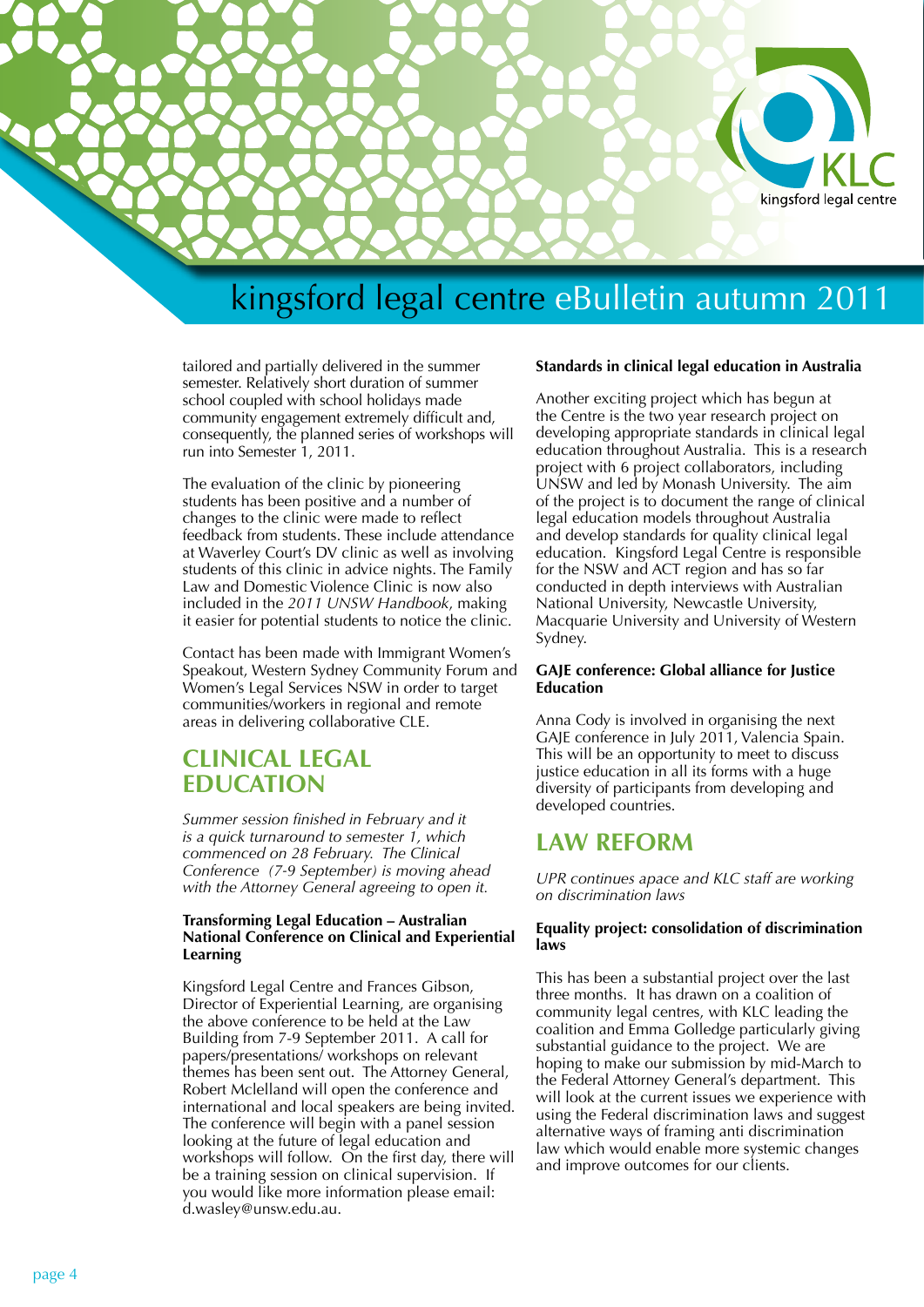

tailored and partially delivered in the summer semester. Relatively short duration of summer school coupled with school holidays made community engagement extremely difficult and, consequently, the planned series of workshops will run into Semester 1, 2011.

The evaluation of the clinic by pioneering students has been positive and a number of changes to the clinic were made to reflect feedback from students. These include attendance at Waverley Court's DV clinic as well as involving students of this clinic in advice nights. The Family Law and Domestic Violence Clinic is now also included in the *2011 UNSW Handbook*, making it easier for potential students to notice the clinic.

Contact has been made with Immigrant Women's Speakout, Western Sydney Community Forum and Women's Legal Services NSW in order to target communities/workers in regional and remote areas in delivering collaborative CLE.

## **CLINICAL LEGAL EDUCATION**

*Summer session finished in February and it is a quick turnaround to semester 1, which commenced on 28 February. The Clinical Conference (7-9 September) is moving ahead with the Attorney General agreeing to open it.*

### **Transforming Legal Education – Australian National Conference on Clinical and Experiential Learning**

Kingsford Legal Centre and Frances Gibson, Director of Experiential Learning, are organising the above conference to be held at the Law Building from 7-9 September 2011. A call for papers/presentations/ workshops on relevant themes has been sent out. The Attorney General, Robert Mclelland will open the conference and international and local speakers are being invited. The conference will begin with a panel session looking at the future of legal education and workshops will follow. On the first day, there will be a training session on clinical supervision. If you would like more information please email: d.wasley@unsw.edu.au.

### **Standards in clinical legal education in Australia**

Another exciting project which has begun at the Centre is the two year research project on developing appropriate standards in clinical legal education throughout Australia. This is a research project with 6 project collaborators, including UNSW and led by Monash University. The aim of the project is to document the range of clinical legal education models throughout Australia and develop standards for quality clinical legal education. Kingsford Legal Centre is responsible for the NSW and ACT region and has so far conducted in depth interviews with Australian National University, Newcastle University, Macquarie University and University of Western Sydney.

### **GAJE conference: Global alliance for Justice Education**

Anna Cody is involved in organising the next GAJE conference in July 2011, Valencia Spain. This will be an opportunity to meet to discuss justice education in all its forms with a huge diversity of participants from developing and developed countries.

## **LAW REFORM**

*UPR continues apace and KLC staff are working on discrimination laws*

### **Equality project: consolidation of discrimination laws**

This has been a substantial project over the last three months. It has drawn on a coalition of community legal centres, with KLC leading the coalition and Emma Golledge particularly giving substantial guidance to the project. We are hoping to make our submission by mid-March to the Federal Attorney General's department. This will look at the current issues we experience with using the Federal discrimination laws and suggest alternative ways of framing anti discrimination law which would enable more systemic changes and improve outcomes for our clients.